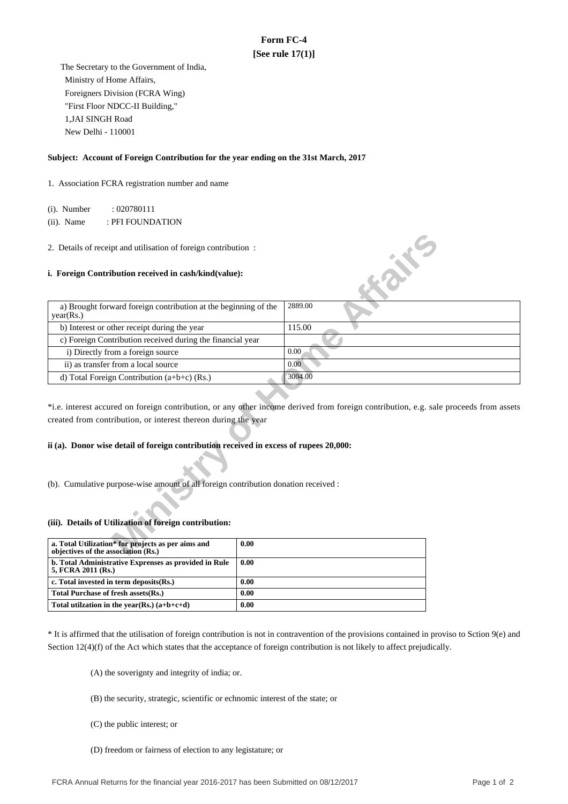# **Form FC-4 [See rule 17(1)]**

 The Secretary to the Government of India, Ministry of Home Affairs, Foreigners Division (FCRA Wing) "First Floor NDCC-II Building," 1,JAI SINGH Road New Delhi - 110001

### **Subject: Account of Foreign Contribution for the year ending on the 31st March, 2017**

1. Association FCRA registration number and name

(i). Number : 020780111

(ii). Name : PFI FOUNDATION

### **i. Foreign Contribution received in cash/kind(value):**

| 2. Details of receipt and utilisation of foreign contribution:                            |                                                                                                                                       |
|-------------------------------------------------------------------------------------------|---------------------------------------------------------------------------------------------------------------------------------------|
| i. Foreign Contribution received in cash/kind(value):                                     | <b>WAN</b>                                                                                                                            |
| a) Brought forward foreign contribution at the beginning of the<br>year(Rs.)              | 2889.00                                                                                                                               |
| b) Interest or other receipt during the year                                              | 115.00                                                                                                                                |
| c) Foreign Contribution received during the financial year                                |                                                                                                                                       |
| i) Directly from a foreign source                                                         | 0.00                                                                                                                                  |
| ii) as transfer from a local source                                                       | 0.00                                                                                                                                  |
| d) Total Foreign Contribution $(a+b+c)$ (Rs.)                                             | 3004.00                                                                                                                               |
| created from contribution, or interest thereon during the year                            | *i.e. interest accured on foreign contribution, or any other income derived from foreign contribution, e.g. sale proceeds from assets |
| ii (a). Donor wise detail of foreign contribution received in excess of rupees 20,000:    |                                                                                                                                       |
| (b). Cumulative purpose-wise amount of all foreign contribution donation received :       |                                                                                                                                       |
| (iii). Details of Utilization of foreign contribution:                                    |                                                                                                                                       |
| a. Total Utilization* for projects as per aims and<br>objectives of the association (Rs.) | 0.00                                                                                                                                  |

## **ii (a). Donor wise detail of foreign contribution received in excess of rupees 20,000:**

#### **(iii). Details of Utilization of foreign contribution:**

| a. Total Utilization* for projects as per aims and<br>objectives of the association (Rs.) | 0.00 |
|-------------------------------------------------------------------------------------------|------|
| b. Total Administrative Exprenses as provided in Rule<br>5, FCRA 2011 (Rs.)               | 0.00 |
| c. Total invested in term deposits (Rs.)                                                  | 0.00 |
| Total Purchase of fresh assets (Rs.)                                                      | 0.00 |
| Total utilization in the year(Rs.) $(a+b+c+d)$                                            | 0.00 |

\* It is affirmed that the utilisation of foreign contribution is not in contravention of the provisions contained in proviso to Sction 9(e) and Section 12(4)(f) of the Act which states that the acceptance of foreign contribution is not likely to affect prejudically.

(A) the soverignty and integrity of india; or.

(B) the security, strategic, scientific or echnomic interest of the state; or

(C) the public interest; or

(D) freedom or fairness of election to any legistature; or